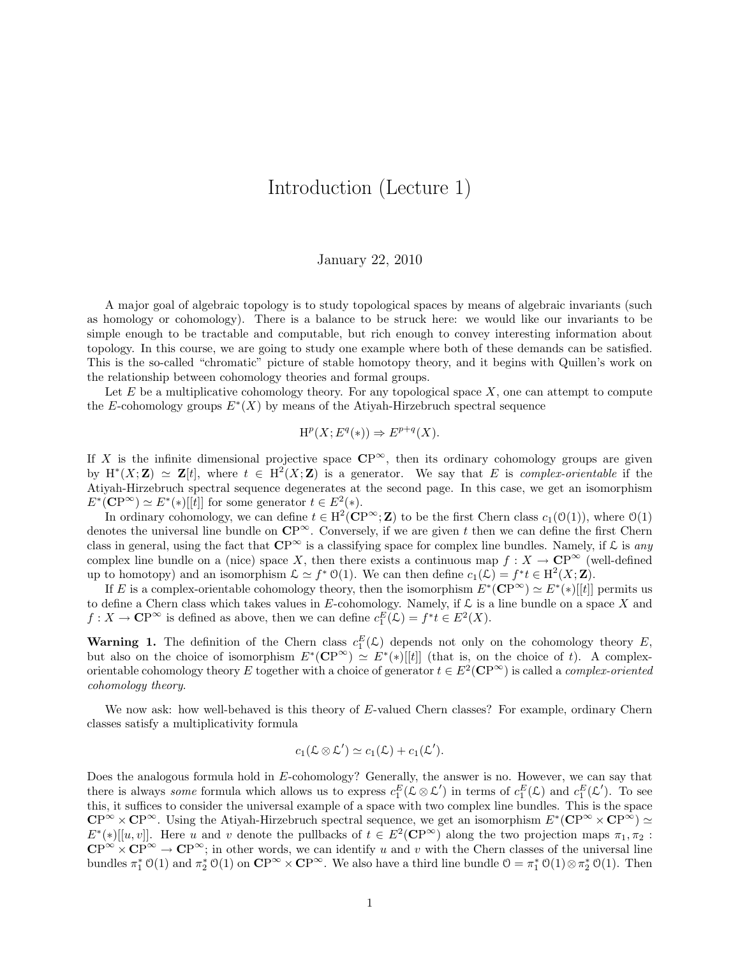## Introduction (Lecture 1)

## January 22, 2010

A major goal of algebraic topology is to study topological spaces by means of algebraic invariants (such as homology or cohomology). There is a balance to be struck here: we would like our invariants to be simple enough to be tractable and computable, but rich enough to convey interesting information about topology. In this course, we are going to study one example where both of these demands can be satisfied. This is the so-called "chromatic" picture of stable homotopy theory, and it begins with Quillen's work on the relationship between cohomology theories and formal groups.

Let  $E$  be a multiplicative cohomology theory. For any topological space  $X$ , one can attempt to compute the E-cohomology groups  $E^*(X)$  by means of the Atiyah-Hirzebruch spectral sequence

$$
\mathrm{H}^p(X; E^q(*) ) \Rightarrow E^{p+q}(X).
$$

If X is the infinite dimensional projective space  $\mathbb{CP}^{\infty}$ , then its ordinary cohomology groups are given by  $H^*(X;\mathbf{Z}) \simeq \mathbf{Z}[t]$ , where  $t \in H^2(X;\mathbf{Z})$  is a generator. We say that E is complex-orientable if the Atiyah-Hirzebruch spectral sequence degenerates at the second page. In this case, we get an isomorphism  $E^*(\mathbb{CP}^{\infty}) \simeq E^*(*)[[t]]$  for some generator  $t \in E^2(*)$ .

In ordinary cohomology, we can define  $t \in H^2(\mathbf{CP}^{\infty}; \mathbf{Z})$  to be the first Chern class  $c_1(\mathcal{O}(1))$ , where  $\mathcal{O}(1)$ denotes the universal line bundle on  $\mathbb{CP}^{\infty}$ . Conversely, if we are given t then we can define the first Chern class in general, using the fact that  $\mathbb{CP}^{\infty}$  is a classifying space for complex line bundles. Namely, if  $\mathcal L$  is any complex line bundle on a (nice) space X, then there exists a continuous map  $f: X \to \mathbb{CP}^\infty$  (well-defined up to homotopy) and an isomorphism  $\mathcal{L} \simeq f^* \mathfrak{O}(1)$ . We can then define  $c_1(\mathcal{L}) = f^* t \in H^2(X; \mathbf{Z})$ .

If E is a complex-orientable cohomology theory, then the isomorphism  $E^*(\mathbb{CP}^{\infty}) \simeq E^*(*)[[t]]$  permits us to define a Chern class which takes values in E-cohomology. Namely, if  $\mathcal L$  is a line bundle on a space X and  $f: X \to \mathbb{CP}^{\infty}$  is defined as above, then we can define  $c_1^E(\mathcal{L}) = f^*t \in E^2(X)$ .

**Warning 1.** The definition of the Chern class  $c_1^E(\mathcal{L})$  depends not only on the cohomology theory E, but also on the choice of isomorphism  $E^*(\mathbb{CP}^{\infty}) \simeq E^*(*)[[t]]$  (that is, on the choice of t). A complexorientable cohomology theory E together with a choice of generator  $t \in E^2(\mathbb{CP}^{\infty})$  is called a *complex-oriented* cohomology theory.

We now ask: how well-behaved is this theory of E-valued Chern classes? For example, ordinary Chern classes satisfy a multiplicativity formula

$$
c_1(\mathcal{L}\otimes\mathcal{L}')\simeq c_1(\mathcal{L})+c_1(\mathcal{L}').
$$

Does the analogous formula hold in E-cohomology? Generally, the answer is no. However, we can say that there is always *some* formula which allows us to express  $c_1^E(\mathcal{L}\otimes\mathcal{L}')$  in terms of  $c_1^E(\mathcal{L})$  and  $c_1^E(\mathcal{L}')$ . To see this, it suffices to consider the universal example of a space with two complex line bundles. This is the space  $\mathbb{CP}^{\infty} \times \mathbb{CP}^{\infty}$ . Using the Atiyah-Hirzebruch spectral sequence, we get an isomorphism  $E^*(\mathbb{CP}^{\infty} \times \mathbb{CP}^{\infty}) \simeq$  $E^*(\ast)[[u, v]]$ . Here u and v denote the pullbacks of  $t \in E^2(\mathbb{CP}^{\infty})$  along the two projection maps  $\pi_1, \pi_2$ :  $\mathbb{CP}^{\infty} \times \mathbb{CP}^{\infty} \to \mathbb{CP}^{\infty}$ ; in other words, we can identify u and v with the Chern classes of the universal line bundles  $\pi_1^* \mathcal{O}(1)$  and  $\pi_2^* \mathcal{O}(1)$  on  $\mathbb{CP}^\infty \times \mathbb{CP}^\infty$ . We also have a third line bundle  $\mathcal{O} = \pi_1^* \mathcal{O}(1) \otimes \pi_2^* \mathcal{O}(1)$ . Then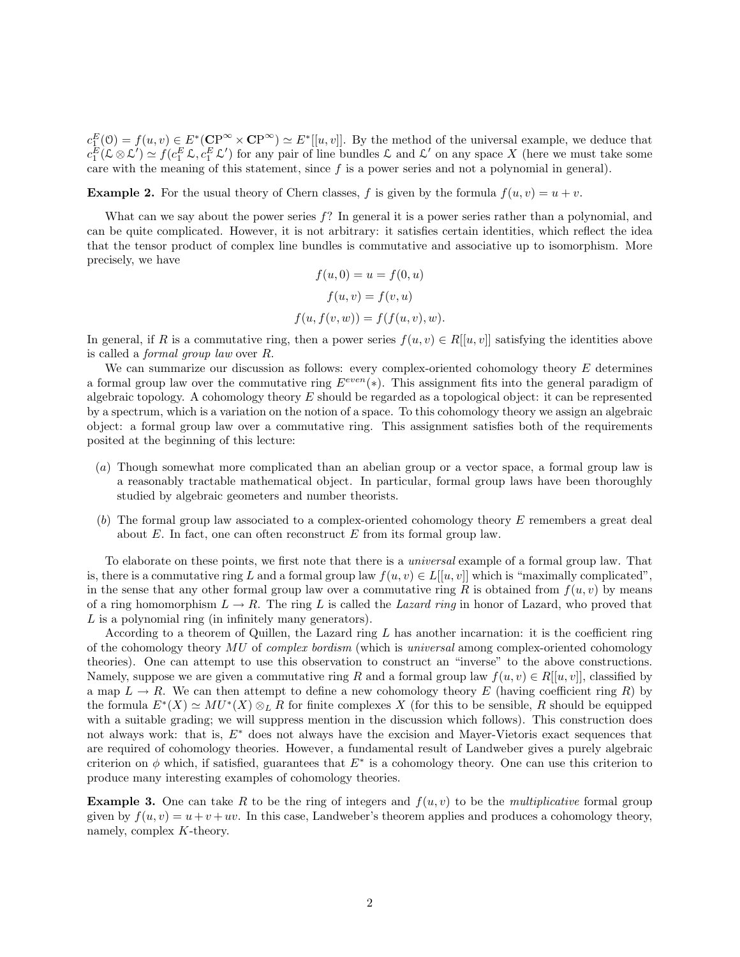$c_{\perp}^{E}(0) = f(u, v) \in E^*(\mathbb{CP}^{\infty} \times \mathbb{CP}^{\infty}) \simeq E^*[[u, v]].$  By the method of the universal example, we deduce that  $c_1^E(\mathcal{L}\otimes \mathcal{L}') \simeq f(c_1^E \mathcal{L}, c_1^E \mathcal{L}')$  for any pair of line bundles  $\mathcal{L}$  and  $\mathcal{L}'$  on any space X (here we must take some care with the meaning of this statement, since  $f$  is a power series and not a polynomial in general).

**Example 2.** For the usual theory of Chern classes, f is given by the formula  $f(u, v) = u + v$ .

What can we say about the power series  $f$ ? In general it is a power series rather than a polynomial, and can be quite complicated. However, it is not arbitrary: it satisfies certain identities, which reflect the idea that the tensor product of complex line bundles is commutative and associative up to isomorphism. More precisely, we have

$$
f(u, 0) = u = f(0, u)
$$

$$
f(u, v) = f(v, u)
$$

$$
f(u, f(v, w)) = f(f(u, v), w).
$$

In general, if R is a commutative ring, then a power series  $f(u, v) \in R[[u, v]]$  satisfying the identities above is called a formal group law over R.

We can summarize our discussion as follows: every complex-oriented cohomology theory E determines a formal group law over the commutative ring  $E^{even}(*)$ . This assignment fits into the general paradigm of algebraic topology. A cohomology theory  $E$  should be regarded as a topological object: it can be represented by a spectrum, which is a variation on the notion of a space. To this cohomology theory we assign an algebraic object: a formal group law over a commutative ring. This assignment satisfies both of the requirements posited at the beginning of this lecture:

- (a) Though somewhat more complicated than an abelian group or a vector space, a formal group law is a reasonably tractable mathematical object. In particular, formal group laws have been thoroughly studied by algebraic geometers and number theorists.
- (b) The formal group law associated to a complex-oriented cohomology theory  $E$  remembers a great deal about  $E$ . In fact, one can often reconstruct  $E$  from its formal group law.

To elaborate on these points, we first note that there is a universal example of a formal group law. That is, there is a commutative ring L and a formal group law  $f(u, v) \in L[[u, v]]$  which is "maximally complicated". in the sense that any other formal group law over a commutative ring R is obtained from  $f(u, v)$  by means of a ring homomorphism  $L \to R$ . The ring L is called the Lazard ring in honor of Lazard, who proved that L is a polynomial ring (in infinitely many generators).

According to a theorem of Quillen, the Lazard ring L has another incarnation: it is the coefficient ring of the cohomology theory  $MU$  of complex bordism (which is universal among complex-oriented cohomology theories). One can attempt to use this observation to construct an "inverse" to the above constructions. Namely, suppose we are given a commutative ring R and a formal group law  $f(u, v) \in R[[u, v]]$ , classified by a map  $L \to R$ . We can then attempt to define a new cohomology theory E (having coefficient ring R) by the formula  $E^*(X) \simeq MU^*(X) \otimes_L R$  for finite complexes X (for this to be sensible, R should be equipped with a suitable grading; we will suppress mention in the discussion which follows). This construction does not always work: that is, E<sup>∗</sup> does not always have the excision and Mayer-Vietoris exact sequences that are required of cohomology theories. However, a fundamental result of Landweber gives a purely algebraic criterion on  $\phi$  which, if satisfied, guarantees that  $E^*$  is a cohomology theory. One can use this criterion to produce many interesting examples of cohomology theories.

**Example 3.** One can take R to be the ring of integers and  $f(u, v)$  to be the *multiplicative* formal group given by  $f(u, v) = u + v + uv$ . In this case, Landweber's theorem applies and produces a cohomology theory, namely, complex K-theory.